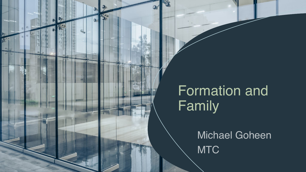## Formation and **Family**

 $\mathbf{0}$ 

 $6^{\circ}$ 

朦

Michael Goheen **MTC**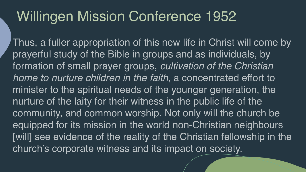## Willingen Mission Conference 1952

Thus, a fuller appropriation of this new life in Christ will come by prayerful study of the Bible in groups and as individuals, by formation of small prayer groups, *cultivation of the Christian home to nurture children in the faith*, a concentrated effort to minister to the spiritual needs of the younger generation, the nurture of the laity for their witness in the public life of the community, and common worship. Not only will the church be equipped for its mission in the world non-Christian neighbours [will] see evidence of the reality of the Christian fellowship in the church's corporate witness and its impact on society.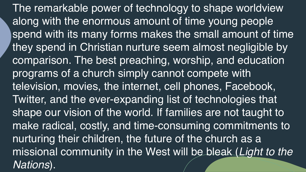The remarkable power of technology to shape worldview along with the enormous amount of time young people spend with its many forms makes the small amount of time they spend in Christian nurture seem almost negligible by comparison. The best preaching, worship, and education programs of a church simply cannot compete with television, movies, the internet, cell phones, Facebook, Twitter, and the ever-expanding list of technologies that shape our vision of the world. If families are not taught to make radical, costly, and time-consuming commitments to nurturing their children, the future of the church as a missional community in the West will be bleak (*Light to the Nations*).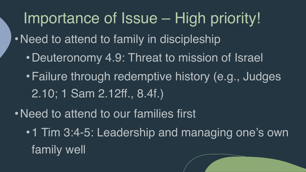Importance of Issue – High priority!

- Need to attend to family in discipleship
	- •Deuteronomy 4.9: Threat to mission of Israel
	- •Failure through redemptive history (e.g., Judges 2.10; 1 Sam 2.12ff., 8.4f.)
- Need to attend to our families first
	- 1 Tim 3:4-5: Leadership and managing one's own family well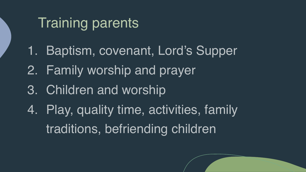## Training parents

- 1. Baptism, covenant, Lord's Supper
- 2. Family worship and prayer
- 3. Children and worship
- 4. Play, quality time, activities, family traditions, befriending children